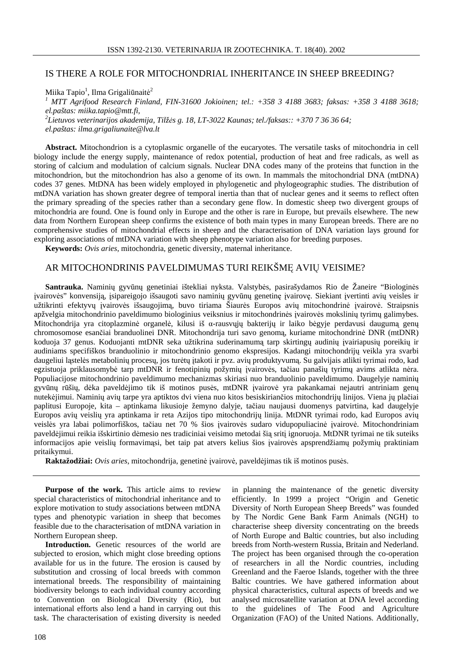## IS THERE A ROLE FOR MITOCHONDRIAL INHERITANCE IN SHEEP BREEDING?

Miika Tapio<sup>1</sup>, Ilma Grigaliūnaitė<sup>2</sup>

*<sup>1</sup> MTT Agrifood Research Finland, FIN-31600 Jokioinen; tel.: +358 3 4188 3683; faksas: +358 3 4188 3618; el.paštas: miika.tapio@mtt.fi,*

*2 Lietuvos veterinarijos akademija, Tilž*ė*s g. 18, LT-3022 Kaunas; tel./faksas:: +370 7 36 36 64;*

*el.paštas: ilma.grigaliunaite@lva.lt*

**Abstract.** Mitochondrion is a cytoplasmic organelle of the eucaryotes. The versatile tasks of mitochondria in cell biology include the energy supply, maintenance of redox potential, production of heat and free radicals, as well as storing of calcium and modulation of calcium signals. Nuclear DNA codes many of the proteins that function in the mitochondrion, but the mitochondrion has also a genome of its own. In mammals the mitochondrial DNA (mtDNA) codes 37 genes. MtDNA has been widely employed in phylogenetic and phylogeographic studies. The distribution of mtDNA variation has shown greater degree of temporal inertia than that of nuclear genes and it seems to reflect often the primary spreading of the species rather than a secondary gene flow. In domestic sheep two divergent groups of mitochondria are found. One is found only in Europe and the other is rare in Europe, but prevails elsewhere. The new data from Northern European sheep confirms the existence of both main types in many European breeds. There are no comprehensive studies of mitochondrial effects in sheep and the characterisation of DNA variation lays ground for exploring associations of mtDNA variation with sheep phenotype variation also for breeding purposes.

**Keywords:** *Ovis aries*, mitochondria, genetic diversity, maternal inheritance.

## AR MITOCHONDRINIS PAVELDIMUMAS TURI REIKŠMĘ AVIŲ VEISIME?

**Santrauka.** Naminių gyvūnų genetiniai ištekliai nyksta. Valstybės, pasirašydamos Rio de Žaneire "Biologinės įvairovės" konvensiją, įsipareigojo išsaugoti savo naminių gyvūnų genetinę įvairovę. Siekiant įvertinti avių veisles ir užtikrinti efektyvų įvairovės išsaugojimą, buvo tiriama Šiaurės Europos avių mitochondrinė įvairovė. Straipsnis apžvelgia mitochondrinio paveldimumo biologinius veiksnius ir mitochondrinės įvairovės mokslinių tyrimų galimybes. Mitochondrija yra citoplazminė organelė, kilusi iš α-rausvųjų bakterijų ir laiko bėgyje perdavusi daugumą genų chromosomose esančiai branduolinei DNR. Mitochondrija turi savo genomą, kuriame mitochondrinė DNR (mtDNR) koduoja 37 genus. Koduojanti mtDNR seka užtikrina suderinamumą tarp skirtingų audinių įvairiapusių poreikių ir audiniams specifiškos branduolinio ir mitochondrinio genomo ekspresijos. Kadangi mitochondrijų veikla yra svarbi daugeliui ląstelės metabolinių procesų, jos turėtų įtakoti ir pvz. avių produktyvumą. Su galvijais atlikti tyrimai rodo, kad egzistuoja priklausomybė tarp mtDNR ir fenotipinių požymių įvairovės, tačiau panašių tyrimų avims atlikta nėra. Populiacijose mitochondrinio paveldimumo mechanizmas skiriasi nuo branduolinio paveldimumo. Daugelyje naminių gyvūnų rūšių, dėka paveldėjimo tik iš motinos pusės, mtDNR įvairovė yra pakankamai nejautri antriniam genų nutekėjimui. Naminių avių tarpe yra aptiktos dvi viena nuo kitos besiskiriančios mitochondrijų linijos. Viena jų plačiai paplitusi Europoje, kita – aptinkama likusioje žemyno dalyje, tačiau naujausi duomenys patvirtina, kad daugelyje Europos avių veislių yra aptinkama ir reta Azijos tipo mitochondrijų linija. MtDNR tyrimai rodo, kad Europos avių veislės yra labai polimorfiškos, tačiau net 70 % šios įvairovės sudaro vidupopuliacinė įvairovė. Mitochondriniam paveldėjimui reikia išskirtinio dėmesio nes tradiciniai veisimo metodai šią sritį ignoruoja. MtDNR tyrimai ne tik suteiks informacijos apie veislių formavimąsi, bet taip pat atvers kelius šios įvairovės apsprendžiamų požymių praktiniam pritaikymui.

**Raktažodžiai:** *Ovis aries*, mitochondrija, genetinė įvairovė, paveldėjimas tik iš motinos pusės.

**Purpose of the work.** This article aims to review special characteristics of mitochondrial inheritance and to explore motivation to study associations between mtDNA types and phenotypic variation in sheep that becomes feasible due to the characterisation of mtDNA variation in Northern European sheep.

Introduction. Genetic resources of the world are subjected to erosion, which might close breeding options available for us in the future. The erosion is caused by substitution and crossing of local breeds with common international breeds. The responsibility of maintaining biodiversity belongs to each individual country according to Convention on Biological Diversity (Rio), but international efforts also lend a hand in carrying out this task. The characterisation of existing diversity is needed

in planning the maintenance of the genetic diversity efficiently. In 1999 a project "Origin and Genetic Diversity of North European Sheep Breeds" was founded by The Nordic Gene Bank Farm Animals (NGH) to characterise sheep diversity concentrating on the breeds of North Europe and Baltic countries, but also including breeds from North-western Russia, Britain and Nederland. The project has been organised through the co-operation of researchers in all the Nordic countries, including Greenland and the Faeroe Islands, together with the three Baltic countries. We have gathered information about physical characteristics, cultural aspects of breeds and we analysed microsatellite variation at DNA level according to the guidelines of The Food and Agriculture Organization (FAO) of the United Nations. Additionally,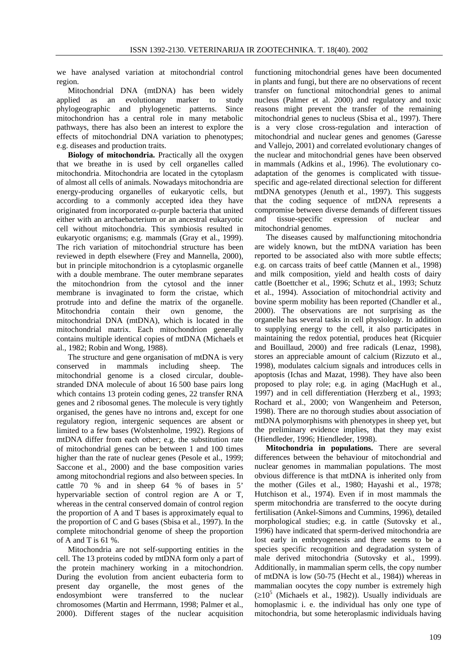we have analysed variation at mitochondrial control region.

Mitochondrial DNA (mtDNA) has been widely applied as an evolutionary marker to study phylogeographic and phylogenetic patterns. Since mitochondrion has a central role in many metabolic pathways, there has also been an interest to explore the effects of mitochondrial DNA variation to phenotypes; e.g. diseases and production traits.

**Biology of mitochondria.** Practically all the oxygen that we breathe in is used by cell organelles called mitochondria. Mitochondria are located in the cytoplasm of almost all cells of animals. Nowadays mitochondria are energy-producing organelles of eukaryotic cells, but according to a commonly accepted idea they have originated from incorporated  $\alpha$ -purple bacteria that united either with an archaebacterium or an ancestral eukaryotic cell without mitochondria. This symbiosis resulted in eukaryotic organisms; e.g. mammals (Gray et al., 1999). The rich variation of mitochondrial structure has been reviewed in depth elsewhere (Frey and Mannella, 2000), but in principle mitochondrion is a cytoplasmic organelle with a double membrane. The outer membrane separates the mitochondrion from the cytosol and the inner membrane is invaginated to form the cristae, which protrude into and define the matrix of the organelle. Mitochondria contain their own genome, the mitochondrial DNA (mtDNA), which is located in the mitochondrial matrix. Each mitochondrion generally contains multiple identical copies of mtDNA (Michaels et al., 1982; Robin and Wong, 1988).

The structure and gene organisation of mtDNA is very conserved in mammals including sheep. The mitochondrial genome is a closed circular, doublestranded DNA molecule of about 16 500 base pairs long which contains 13 protein coding genes, 22 transfer RNA genes and 2 ribosomal genes. The molecule is very tightly organised, the genes have no introns and, except for one regulatory region, intergenic sequences are absent or limited to a few bases (Wolstenholme, 1992). Regions of mtDNA differ from each other; e.g. the substitution rate of mitochondrial genes can be between 1 and 100 times higher than the rate of nuclear genes (Pesole et al., 1999; Saccone et al., 2000) and the base composition varies among mitochondrial regions and also between species. In cattle 70 % and in sheep 64 % of bases in 5' hypervariable section of control region are A or T, whereas in the central conserved domain of control region the proportion of A and T bases is approximately equal to the proportion of C and G bases (Sbisa et al., 1997). In the complete mitochondrial genome of sheep the proportion of A and T is 61 %.

Mitochondria are not self-supporting entities in the cell. The 13 proteins coded by mtDNA form only a part of the protein machinery working in a mitochondrion. During the evolution from ancient eubacteria form to present day organelle, the most genes of the endosymbiont were transferred to the nuclear chromosomes (Martin and Herrmann, 1998; Palmer et al., 2000). Different stages of the nuclear acquisition functioning mitochondrial genes have been documented in plants and fungi, but there are no observations of recent transfer on functional mitochondrial genes to animal nucleus (Palmer et al. 2000) and regulatory and toxic reasons might prevent the transfer of the remaining mitochondrial genes to nucleus (Sbisa et al., 1997). There is a very close cross-regulation and interaction of mitochondrial and nuclear genes and genomes (Garesse and Vallejo, 2001) and correlated evolutionary changes of the nuclear and mitochondrial genes have been observed in mammals (Adkins et al., 1996). The evolutionary coadaptation of the genomes is complicated with tissuespecific and age-related directional selection for different mtDNA genotypes (Jenuth et al., 1997). This suggests that the coding sequence of mtDNA represents a compromise between diverse demands of different tissues and tissue-specific expression of nuclear and mitochondrial genomes.

The diseases caused by malfunctioning mitochondria are widely known, but the mtDNA variation has been reported to be associated also with more subtle effects; e.g. on carcass traits of beef cattle (Mannen et al., 1998) and milk composition, yield and health costs of dairy cattle (Boettcher et al., 1996; Schutz et al., 1993; Schutz et al., 1994). Association of mitochondrial activity and bovine sperm mobility has been reported (Chandler et al., 2000). The observations are not surprising as the organelle has several tasks in cell physiology. In addition to supplying energy to the cell, it also participates in maintaining the redox potential, produces heat (Ricquier and Bouillaud, 2000) and free radicals (Lenaz, 1998), stores an appreciable amount of calcium (Rizzuto et al., 1998), modulates calcium signals and introduces cells in apoptosis (Ichas and Mazat, 1998). They have also been proposed to play role; e.g. in aging (MacHugh et al., 1997) and in cell differentiation (Herzberg et al., 1993; Rochard et al., 2000; von Wangenheim and Peterson, 1998). There are no thorough studies about association of mtDNA polymorphisms with phenotypes in sheep yet, but the preliminary evidence implies, that they may exist (Hiendleder, 1996; Hiendleder, 1998).

**Mitochondria in populations.** There are several differences between the behaviour of mitochondrial and nuclear genomes in mammalian populations. The most obvious difference is that mtDNA is inherited only from the mother (Giles et al., 1980; Hayashi et al., 1978; Hutchison et al., 1974). Even if in most mammals the sperm mitochondria are transferred to the oocyte during fertilisation (Ankel-Simons and Cummins, 1996), detailed morphological studies; e.g. in cattle (Sutovsky et al., 1996) have indicated that sperm-derived mitochondria are lost early in embryogenesis and there seems to be a species specific recognition and degradation system of male derived mitochondria (Sutovsky et al., 1999). Additionally, in mammalian sperm cells, the copy number of mtDNA is low (50-75 (Hecht et al., 1984)) whereas in mammalian oocytes the copy number is extremely high  $(\geq 10^5$  (Michaels et al., 1982)). Usually individuals are homoplasmic i. e. the individual has only one type of mitochondria, but some heteroplasmic individuals having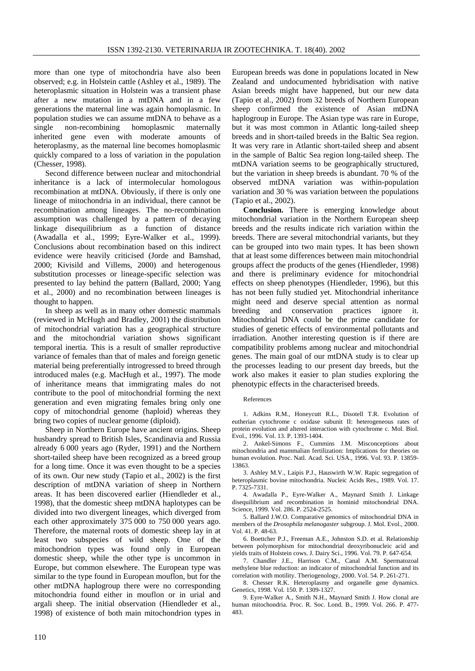more than one type of mitochondria have also been observed; e.g. in Holstein cattle (Ashley et al., 1989). The heteroplasmic situation in Holstein was a transient phase after a new mutation in a mtDNA and in a few generations the maternal line was again homoplasmic. In population studies we can assume mtDNA to behave as a single non-recombining homoplasmic maternally inherited gene even with moderate amounts of heteroplasmy, as the maternal line becomes homoplasmic quickly compared to a loss of variation in the population (Chesser, 1998).

Second difference between nuclear and mitochondrial inheritance is a lack of intermolecular homologous recombination at mtDNA. Obviously, if there is only one lineage of mitochondria in an individual, there cannot be recombination among lineages. The no-recombination assumption was challenged by a pattern of decaying linkage disequilibrium as a function of distance (Awadalla et al., 1999; Eyre-Walker et al., 1999). Conclusions about recombination based on this indirect evidence were heavily criticised (Jorde and Bamshad, 2000; Kivisild and Villems, 2000) and heterogenous substitution processes or lineage-specific selection was presented to lay behind the pattern (Ballard, 2000; Yang et al., 2000) and no recombination between lineages is thought to happen.

In sheep as well as in many other domestic mammals (reviewed in McHugh and Bradley, 2001) the distribution of mitochondrial variation has a geographical structure and the mitochondrial variation shows significant temporal inertia. This is a result of smaller reproductive variance of females than that of males and foreign genetic material being preferentially introgressed to breed through introduced males (e.g. MacHugh et al., 1997). The mode of inheritance means that immigrating males do not contribute to the pool of mitochondrial forming the next generation and even migrating females bring only one copy of mitochondrial genome (haploid) whereas they bring two copies of nuclear genome (diploid).

Sheep in Northern Europe have ancient origins. Sheep husbandry spread to British Isles, Scandinavia and Russia already 6 000 years ago (Ryder, 1991) and the Northern short-tailed sheep have been recognized as a breed group for a long time. Once it was even thought to be a species of its own. Our new study (Tapio et al., 2002) is the first description of mtDNA variation of sheep in Northern areas. It has been discovered earlier (Hiendleder et al., 1998), that the domestic sheep mtDNA haplotypes can be divided into two divergent lineages, which diverged from each other approximately 375 000 to 750 000 years ago. Therefore, the maternal roots of domestic sheep lay in at least two subspecies of wild sheep. One of the mitochondrion types was found only in European domestic sheep, while the other type is uncommon in Europe, but common elsewhere. The European type was similar to the type found in European mouflon, but for the other mtDNA haplogroup there were no corresponding mitochondria found either in mouflon or in urial and argali sheep. The initial observation (Hiendleder et al., 1998) of existence of both main mitochondrion types in European breeds was done in populations located in New Zealand and undocumented hybridisation with native Asian breeds might have happened, but our new data (Tapio et al., 2002) from 32 breeds of Northern European sheep confirmed the existence of Asian mtDNA haplogroup in Europe. The Asian type was rare in Europe, but it was most common in Atlantic long-tailed sheep breeds and in short-tailed breeds in the Baltic Sea region. It was very rare in Atlantic short-tailed sheep and absent in the sample of Baltic Sea region long-tailed sheep. The mtDNA variation seems to be geographically structured, but the variation in sheep breeds is abundant. 70 % of the observed mtDNA variation was within-population variation and 30 % was variation between the populations (Tapio et al., 2002).

**Conclusion.** There is emerging knowledge about mitochondrial variation in the Northern European sheep breeds and the results indicate rich variation within the breeds. There are several mitochondrial variants, but they can be grouped into two main types. It has been shown that at least some differences between main mitochondrial groups affect the products of the genes (Hiendleder, 1998) and there is preliminary evidence for mitochondrial effects on sheep phenotypes (Hiendleder, 1996), but this has not been fully studied yet. Mitochondrial inheritance might need and deserve special attention as normal breeding and conservation practices ignore it. Mitochondrial DNA could be the prime candidate for studies of genetic effects of environmental pollutants and irradiation. Another interesting question is if there are compatibility problems among nuclear and mitochondrial genes. The main goal of our mtDNA study is to clear up the processes leading to our present day breeds, but the work also makes it easier to plan studies exploring the phenotypic effects in the characterised breeds.

## References

1. Adkins R.M., Honeycutt R.L., Disotell T.R. Evolution of eutherian cytochrome c oxidase subunit II: heterogeneous rates of protein evolution and altered interaction with cytochrome c. Mol. Biol. Evol., 1996. Vol. 13. P. 1393-1404.

2. Ankel-Simons F., Cummins J.M. Misconceptions about mitochondria and mammalian fertilization: Implications for theories on human evolution. Proc. Natl. Acad. Sci. USA., 1996. Vol. 93. P. 13859- 13863.

3. Ashley M.V., Laipis P.J., Hauswirth W.W. Rapic segregation of heteroplasmic bovine mitochondria. Nucleic Acids Res., 1989. Vol. 17. P. 7325-7331.

4. Awadalla P., Eyre-Walker A., Maynard Smith J. Linkage disequilibrium and recombination in hominid mitochondrial DNA. Science, 1999. Vol. 286. P. 2524-2525.

5. Ballard J.W.O. Comparative genomics of mitochondrial DNA in members of the *Drosophila melanogaster* subgroup. J. Mol. Evol., 2000. Vol. 41. P. 48-63.

6. Boettcher P.J., Freeman A.E., Johnston S.D. et al. Relationship between polymorphism for mitochondrial deoxyribonucleic acid and yields traits of Holstein cows. J. Dairy Sci., 1996. Vol. 79. P. 647-654.

7. Chandler J.E., Harrison C.M., Canal A.M. Spermatozoal methylene blue reduction: an indicator of mitochondrial function and its correlation with motility. Theriogenology, 2000. Vol. 54. P. 261-271.

8. Chesser R.K. Heteroplasmy and organelle gene dynamics. Genetics, 1998. Vol. 150. P. 1309-1327.

9. Eyre-Walker A., Smith N.H., Maynard Smith J. How clonal are human mitochondria. Proc. R. Soc. Lond. B., 1999. Vol. 266. P. 477- 483.